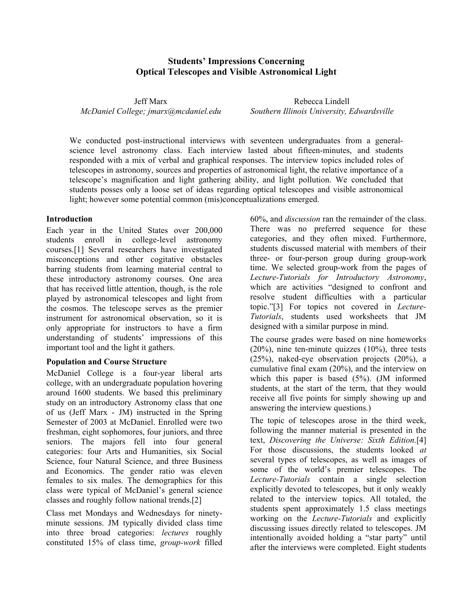## **Students' Impressions Concerning Optical Telescopes and Visible Astronomical Light**

*McDaniel College; jmarx@mcdaniel.edu Southern Illinois University, Edwardsville* 

Jeff Marx Rebecca Lindell

We conducted post-instructional interviews with seventeen undergraduates from a generalscience level astronomy class. Each interview lasted about fifteen-minutes, and students responded with a mix of verbal and graphical responses. The interview topics included roles of telescopes in astronomy, sources and properties of astronomical light, the relative importance of a telescope's magnification and light gathering ability, and light pollution. We concluded that students posses only a loose set of ideas regarding optical telescopes and visible astronomical light; however some potential common (mis)conceptualizations emerged.

#### **Introduction**

Each year in the United States over 200,000 students enroll in college-level astronomy courses.[1] Several researchers have investigated misconceptions and other cogitative obstacles barring students from learning material central to these introductory astronomy courses. One area that has received little attention, though, is the role played by astronomical telescopes and light from the cosmos. The telescope serves as the premier instrument for astronomical observation, so it is only appropriate for instructors to have a firm understanding of students' impressions of this important tool and the light it gathers.

### **Population and Course Structure**

McDaniel College is a four-year liberal arts college, with an undergraduate population hovering around 1600 students. We based this preliminary study on an introductory Astronomy class that one of us (Jeff Marx - JM) instructed in the Spring Semester of 2003 at McDaniel. Enrolled were two freshman, eight sophomores, four juniors, and three seniors. The majors fell into four general categories: four Arts and Humanities, six Social Science, four Natural Science, and three Business and Economics. The gender ratio was eleven females to six males. The demographics for this class were typical of McDaniel's general science classes and roughly follow national trends.[2]

Class met Mondays and Wednesdays for ninetyminute sessions. JM typically divided class time into three broad categories: *lectures* roughly constituted 15% of class time, *group-work* filled 60%, and *discussion* ran the remainder of the class. There was no preferred sequence for these categories, and they often mixed. Furthermore, students discussed material with members of their three- or four-person group during group-work time. We selected group-work from the pages of *Lecture-Tutorials for Introductory Astronomy*, which are activities "designed to confront and resolve student difficulties with a particular topic."[3] For topics not covered in *Lecture-Tutorials*, students used worksheets that JM designed with a similar purpose in mind.

The course grades were based on nine homeworks  $(20\%)$ , nine ten-minute quizzes  $(10\%)$ , three tests (25%), naked-eye observation projects (20%), a cumulative final exam (20%), and the interview on which this paper is based (5%). (JM informed students, at the start of the term, that they would receive all five points for simply showing up and answering the interview questions.)

The topic of telescopes arose in the third week, following the manner material is presented in the text, *Discovering the Universe: Sixth Edition*.[4] For those discussions, the students looked *at* several types of telescopes, as well as images of some of the world's premier telescopes. The *Lecture-Tutorials* contain a single selection explicitly devoted to telescopes, but it only weakly related to the interview topics. All totaled, the students spent approximately 1.5 class meetings working on the *Lecture-Tutorials* and explicitly discussing issues directly related to telescopes. JM intentionally avoided holding a "star party" until after the interviews were completed. Eight students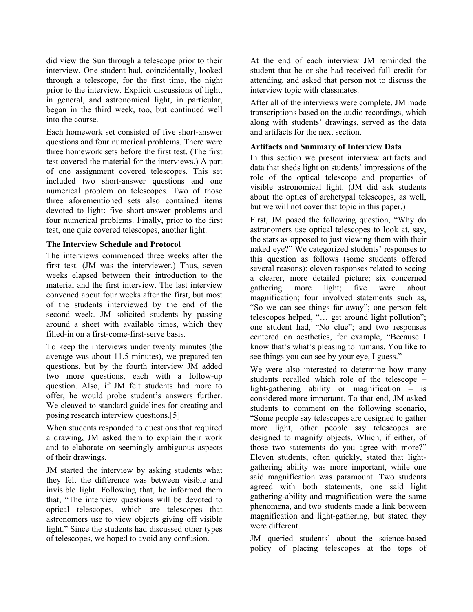did view the Sun through a telescope prior to their interview. One student had, coincidentally, looked through a telescope, for the first time, the night prior to the interview. Explicit discussions of light, in general, and astronomical light, in particular, began in the third week, too, but continued well into the course.

Each homework set consisted of five short-answer questions and four numerical problems. There were three homework sets before the first test. (The first test covered the material for the interviews.) A part of one assignment covered telescopes. This set included two short-answer questions and one numerical problem on telescopes. Two of those three aforementioned sets also contained items devoted to light: five short-answer problems and four numerical problems. Finally, prior to the first test, one quiz covered telescopes, another light.

### **The Interview Schedule and Protocol**

The interviews commenced three weeks after the first test. (JM was the interviewer.) Thus, seven weeks elapsed between their introduction to the material and the first interview. The last interview convened about four weeks after the first, but most of the students interviewed by the end of the second week. JM solicited students by passing around a sheet with available times, which they filled-in on a first-come-first-serve basis.

To keep the interviews under twenty minutes (the average was about 11.5 minutes), we prepared ten questions, but by the fourth interview JM added two more questions, each with a follow-up question. Also, if JM felt students had more to offer, he would probe student's answers further. We cleaved to standard guidelines for creating and posing research interview questions.[5]

When students responded to questions that required a drawing, JM asked them to explain their work and to elaborate on seemingly ambiguous aspects of their drawings.

JM started the interview by asking students what they felt the difference was between visible and invisible light. Following that, he informed them that, "The interview questions will be devoted to optical telescopes, which are telescopes that astronomers use to view objects giving off visible light." Since the students had discussed other types of telescopes, we hoped to avoid any confusion.

At the end of each interview JM reminded the student that he or she had received full credit for attending, and asked that person not to discuss the interview topic with classmates.

After all of the interviews were complete, JM made transcriptions based on the audio recordings, which along with students' drawings, served as the data and artifacts for the next section.

## **Artifacts and Summary of Interview Data**

In this section we present interview artifacts and data that sheds light on students' impressions of the role of the optical telescope and properties of visible astronomical light. (JM did ask students about the optics of archetypal telescopes, as well, but we will not cover that topic in this paper.)

First, JM posed the following question, "Why do astronomers use optical telescopes to look at, say, the stars as opposed to just viewing them with their naked eye?" We categorized students' responses to this question as follows (some students offered several reasons): eleven responses related to seeing a clearer, more detailed picture; six concerned gathering more light; five were about magnification; four involved statements such as, "So we can see things far away"; one person felt telescopes helped, "… get around light pollution"; one student had, "No clue"; and two responses centered on aesthetics, for example, "Because I know that's what's pleasing to humans. You like to see things you can see by your eye, I guess."

We were also interested to determine how many students recalled which role of the telescope – light-gathering ability or magnification – is considered more important. To that end, JM asked students to comment on the following scenario, "Some people say telescopes are designed to gather more light, other people say telescopes are designed to magnify objects. Which, if either, of those two statements do you agree with more?" Eleven students, often quickly, stated that lightgathering ability was more important, while one said magnification was paramount. Two students agreed with both statements, one said light gathering-ability and magnification were the same phenomena, and two students made a link between magnification and light-gathering, but stated they were different.

JM queried students' about the science-based policy of placing telescopes at the tops of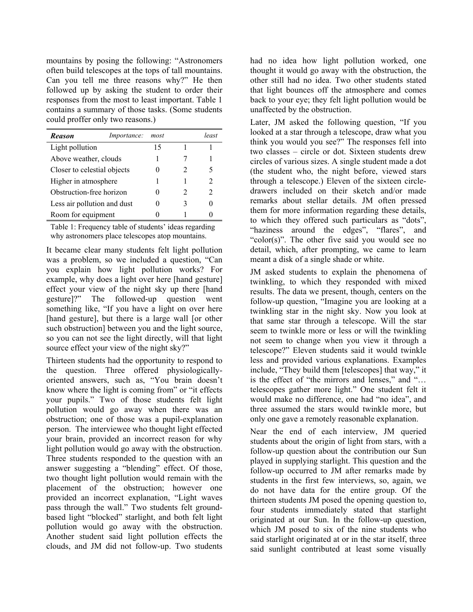mountains by posing the following: "Astronomers often build telescopes at the tops of tall mountains. Can you tell me three reasons why?" He then followed up by asking the student to order their responses from the most to least important. Table 1 contains a summary of those tasks. (Some students could proffer only two reasons.)

| <b>Reason</b>               | <i>Importance:</i> | most |   | least |
|-----------------------------|--------------------|------|---|-------|
| Light pollution             |                    | 15   |   |       |
| Above weather, clouds       |                    |      |   |       |
| Closer to celestial objects |                    |      | 2 |       |
| Higher in atmosphere        |                    |      |   |       |
| Obstruction-free horizon    |                    |      | 2 |       |
| Less air pollution and dust |                    |      |   |       |
| Room for equipment          |                    |      |   |       |

Table 1: Frequency table of students' ideas regarding why astronomers place telescopes atop mountains.

It became clear many students felt light pollution was a problem, so we included a question, "Can you explain how light pollution works? For example, why does a light over here [hand gesture] effect your view of the night sky up there [hand gesture]?" The followed-up question went something like, "If you have a light on over here [hand gesture], but there is a large wall [or other such obstruction] between you and the light source, so you can not see the light directly, will that light source effect your view of the night sky?"

Thirteen students had the opportunity to respond to the question. Three offered physiologicallyoriented answers, such as, "You brain doesn't know where the light is coming from" or "it effects your pupils." Two of those students felt light pollution would go away when there was an obstruction; one of those was a pupil-explanation person. The interviewee who thought light effected your brain, provided an incorrect reason for why light pollution would go away with the obstruction. Three students responded to the question with an answer suggesting a "blending" effect. Of those, two thought light pollution would remain with the placement of the obstruction; however one provided an incorrect explanation, "Light waves pass through the wall." Two students felt groundbased light "blocked" starlight, and both felt light pollution would go away with the obstruction. Another student said light pollution effects the clouds, and JM did not follow-up. Two students

had no idea how light pollution worked, one thought it would go away with the obstruction, the other still had no idea. Two other students stated that light bounces off the atmosphere and comes back to your eye; they felt light pollution would be unaffected by the obstruction.

Later, JM asked the following question, "If you looked at a star through a telescope, draw what you think you would you see?" The responses fell into two classes – circle or dot. Sixteen students drew circles of various sizes. A single student made a dot (the student who, the night before, viewed stars through a telescope.) Eleven of the sixteen circledrawers included on their sketch and/or made remarks about stellar details. JM often pressed them for more information regarding these details, to which they offered such particulars as "dots", "haziness around the edges", "flares", and "color(s)". The other five said you would see no detail, which, after prompting, we came to learn meant a disk of a single shade or white.

JM asked students to explain the phenomena of twinkling, to which they responded with mixed results. The data we present, though, centers on the follow-up question, "Imagine you are looking at a twinkling star in the night sky. Now you look at that same star through a telescope. Will the star seem to twinkle more or less or will the twinkling not seem to change when you view it through a telescope?" Eleven students said it would twinkle less and provided various explanations. Examples include, "They build them [telescopes] that way," it is the effect of "the mirrors and lenses," and "… telescopes gather more light." One student felt it would make no difference, one had "no idea", and three assumed the stars would twinkle more, but only one gave a remotely reasonable explanation.

Near the end of each interview, JM queried students about the origin of light from stars, with a follow-up question about the contribution our Sun played in supplying starlight. This question and the follow-up occurred to JM after remarks made by students in the first few interviews, so, again, we do not have data for the entire group. Of the thirteen students JM posed the opening question to, four students immediately stated that starlight originated at our Sun. In the follow-up question, which JM posed to six of the nine students who said starlight originated at or in the star itself, three said sunlight contributed at least some visually